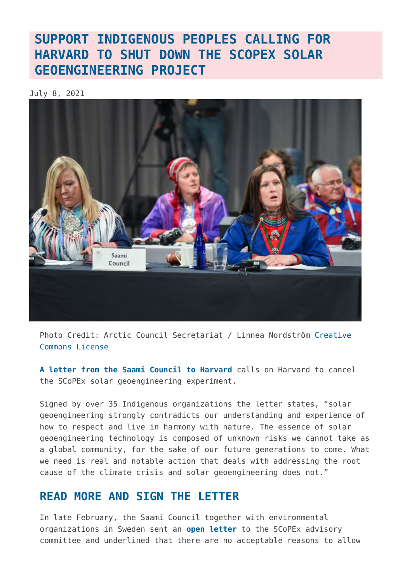## **[SUPPORT INDIGENOUS PEOPLES CALLING FOR](https://www.geoengineeringmonitor.org/2021/07/sign-the-saami-councils-petition-to-stop-harvards-scopex-experiment/) [HARVARD TO SHUT DOWN THE SCOPEX SOLAR](https://www.geoengineeringmonitor.org/2021/07/sign-the-saami-councils-petition-to-stop-harvards-scopex-experiment/) [GEOENGINEERING PROJECT](https://www.geoengineeringmonitor.org/2021/07/sign-the-saami-councils-petition-to-stop-harvards-scopex-experiment/)**

July 8, 2021



Photo Credit: Arctic Council Secretariat / Linnea Nordström [Creative](https://creativecommons.org/licenses/by-nd/2.0/) [Commons License](https://creativecommons.org/licenses/by-nd/2.0/)

**[A letter from the Saami Council to Harvard](https://www.geoengineeringmonitor.org/wp-content/uploads/2021/07/IndigenousPeoplescallonHarvardtoshutdowntheSCoPExproject.pdf)** calls on Harvard to cancel the SCoPEx solar geoengineering experiment.

Signed by over 35 Indigenous organizations the letter states, "solar geoengineering strongly contradicts our understanding and experience of how to respect and live in harmony with nature. The essence of solar geoengineering technology is composed of unknown risks we cannot take as a global community, for the sake of our future generations to come. What we need is real and notable action that deals with addressing the root cause of the climate crisis and solar geoengineering does not."

## **[READ MORE AND SIGN THE LETTER](https://www.saamicouncil.net/news-archive/support-the-indigenous-voices-call-on-harvard-to-shut-down-the-scopex-project)**

In late February, the Saami Council together with environmental organizations in Sweden sent an **[open letter](https://www.saamicouncil.net/news-archive/open-letter-requesting-cancellation-of-plans-for-geoengineering)** to the SCoPEx advisory committee and underlined that there are no acceptable reasons to allow